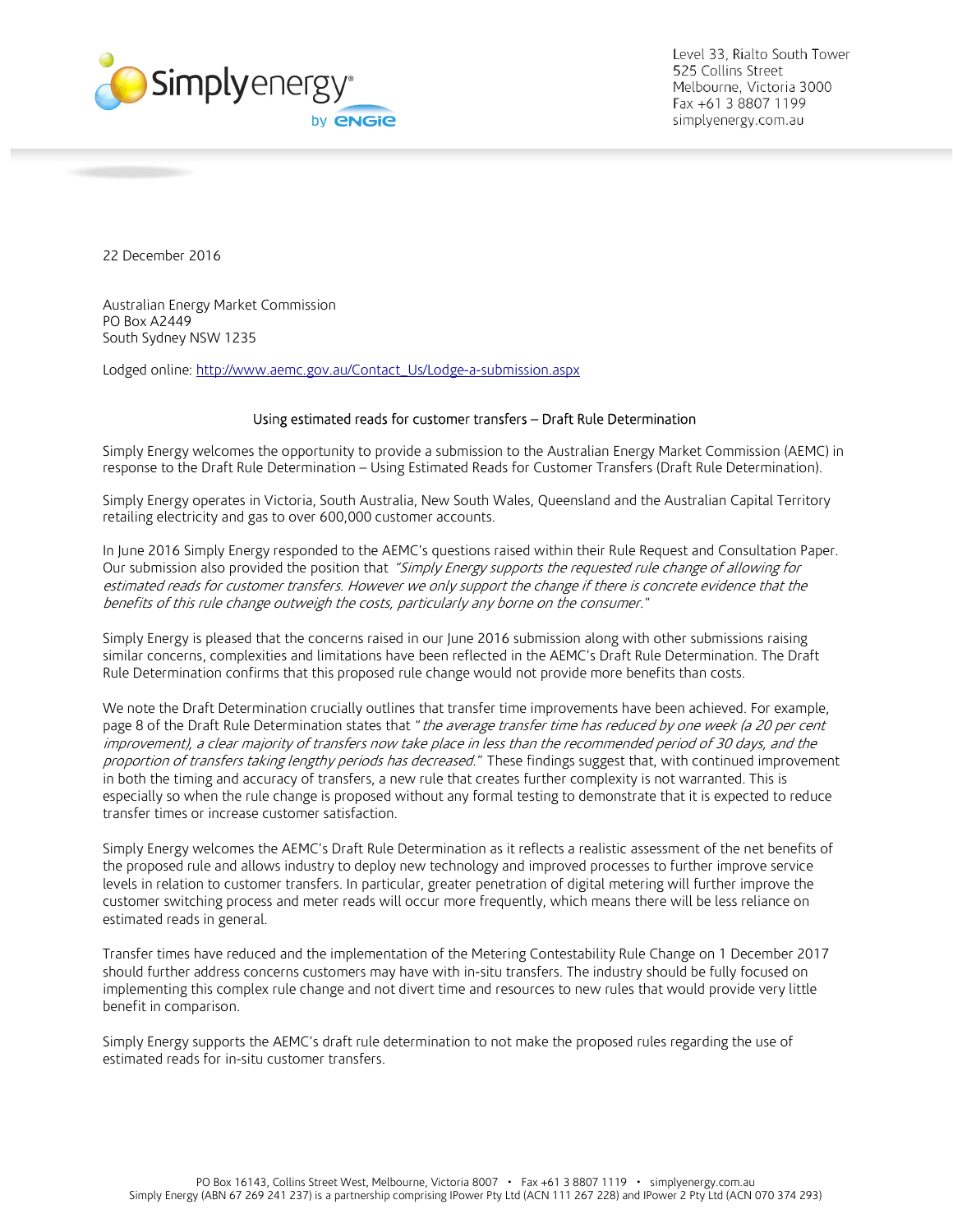

Level 33, Rialto South Tower 525 Collins Street Melbourne, Victoria 3000 Fax +61 3 8807 1199 simplyenergy.com.au

22 December 2016

Australian Energy Market Commission PO Box A2449 South Sydney NSW 1235

Lodged online: http://www.aemc.gov.au/Contact\_Us/Lodge-a-submission.aspx

## Using estimated reads for customer transfers – Draft Rule Determination

Simply Energy welcomes the opportunity to provide a submission to the Australian Energy Market Commission (AEMC) in response to the Draft Rule Determination – Using Estimated Reads for Customer Transfers (Draft Rule Determination).

Simply Energy operates in Victoria, South Australia, New South Wales, Queensland and the Australian Capital Territory retailing electricity and gas to over 600,000 customer accounts.

In June 2016 Simply Energy responded to the AEMC's questions raised within their Rule Request and Consultation Paper. Our submission also provided the position that "Simply Energy supports the requested rule change of allowing for estimated reads for customer transfers. However we only support the change if there is concrete evidence that the benefits of this rule change outweigh the costs, particularly any borne on the consumer."

Simply Energy is pleased that the concerns raised in our June 2016 submission along with other submissions raising similar concerns, complexities and limitations have been reflected in the AEMC's Draft Rule Determination. The Draft Rule Determination confirms that this proposed rule change would not provide more benefits than costs.

We note the Draft Determination crucially outlines that transfer time improvements have been achieved. For example, page 8 of the Draft Rule Determination states that "the average transfer time has reduced by one week (a 20 per cent improvement), a clear majority of transfers now take place in less than the recommended period of 30 days, and the proportion of transfers taking lengthy periods has decreased." These findings suggest that, with continued improvement in both the timing and accuracy of transfers, a new rule that creates further complexity is not warranted. This is especially so when the rule change is proposed without any formal testing to demonstrate that it is expected to reduce transfer times or increase customer satisfaction.

Simply Energy welcomes the AEMC's Draft Rule Determination as it reflects a realistic assessment of the net benefits of the proposed rule and allows industry to deploy new technology and improved processes to further improve service levels in relation to customer transfers. In particular, greater penetration of digital metering will further improve the customer switching process and meter reads will occur more frequently, which means there will be less reliance on estimated reads in general.

Transfer times have reduced and the implementation of the Metering Contestability Rule Change on 1 December 2017 should further address concerns customers may have with in-situ transfers. The industry should be fully focused on implementing this complex rule change and not divert time and resources to new rules that would provide very little benefit in comparison.

Simply Energy supports the AEMC's draft rule determination to not make the proposed rules regarding the use of estimated reads for in-situ customer transfers.